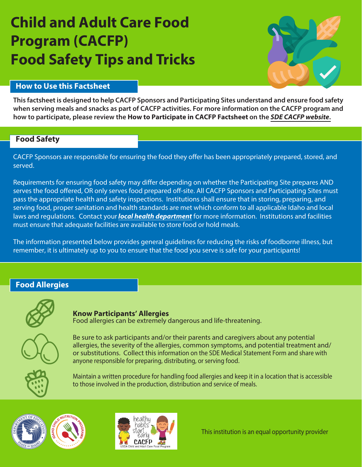# **Child and Adult Care Food Program (CACFP) Food Safety Tips and Tricks**



# **How to Use this Factsheet**

**This factsheet is designed to help CACFP Sponsors and Participating Sites understand and ensure food safety when serving meals and snacks as part of CACFP activities. For more information on the CACFP program and how to participate, please review the How to Participate in CACFP Factsheet on the [SDE CACFP website](https://www.sde.idaho.gov/cnp/cacfp/).** 

# **Food Safety**

CACFP Sponsors are responsible for ensuring the food they offer has been appropriately prepared, stored, and served.

Requirements for ensuring food safety may differ depending on whether the Participating Site prepares AND serves the food offered, OR only serves food prepared off-site. All CACFP Sponsors and Participating Sites must pass the appropriate health and safety inspections. Institutions shall ensure that in storing, preparing, and serving food, proper sanitation and health standards are met which conform to all applicable Idaho and local laws and regulations. Contact your **[local health department](https://cdhd.idaho.gov/eh-childcare-inspections.php)** for more information. Institutions and facilities must ensure that adequate facilities are available to store food or hold meals.

The information presented below provides general guidelines for reducing the risks of foodborne illness, but remember, it is ultimately up to you to ensure that the food you serve is safe for your participants!

# **Food Allergies**



**Know Participants' Allergies**

Food allergies can be extremely dangerous and life-threatening.



Be sure to ask participants and/or their parents and caregivers about any potential allergies, the severity of the allergies, common symptoms, and potential treatment and/ or substitutions. Collect this information on the SDE Medical Statement Form and share with anyone responsible for preparing, distributing, or serving food.



Maintain a written procedure for handling food allergies and keep it in a location that is accessible to those involved in the production, distribution and service of meals.





This institution is an equal opportunity provider